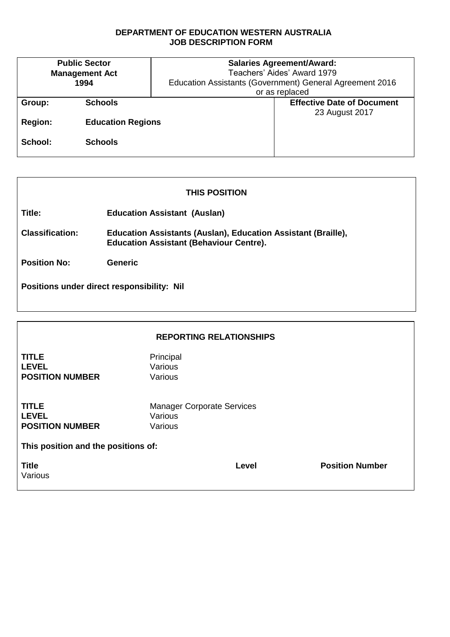## **DEPARTMENT OF EDUCATION WESTERN AUSTRALIA JOB DESCRIPTION FORM**

| <b>Public Sector</b><br><b>Management Act</b><br>1994 |                          | <b>Salaries Agreement/Award:</b><br>Teachers' Aides' Award 1979<br>Education Assistants (Government) General Agreement 2016<br>or as replaced |                                   |
|-------------------------------------------------------|--------------------------|-----------------------------------------------------------------------------------------------------------------------------------------------|-----------------------------------|
| Group:                                                | <b>Schools</b>           |                                                                                                                                               | <b>Effective Date of Document</b> |
|                                                       |                          |                                                                                                                                               | 23 August 2017                    |
| <b>Region:</b>                                        | <b>Education Regions</b> |                                                                                                                                               |                                   |
| School:                                               | <b>Schools</b>           |                                                                                                                                               |                                   |

|                                            | <b>THIS POSITION</b>                                                                                            |  |  |  |
|--------------------------------------------|-----------------------------------------------------------------------------------------------------------------|--|--|--|
| Title:                                     | <b>Education Assistant (Auslan)</b>                                                                             |  |  |  |
| <b>Classification:</b>                     | Education Assistants (Auslan), Education Assistant (Braille),<br><b>Education Assistant (Behaviour Centre).</b> |  |  |  |
| <b>Position No:</b>                        | <b>Generic</b>                                                                                                  |  |  |  |
| Positions under direct responsibility: Nil |                                                                                                                 |  |  |  |

г

| <b>REPORTING RELATIONSHIPS</b>                         |                                                         |                        |  |  |  |
|--------------------------------------------------------|---------------------------------------------------------|------------------------|--|--|--|
| <b>TITLE</b><br><b>LEVEL</b><br><b>POSITION NUMBER</b> | Principal<br>Various<br>Various                         |                        |  |  |  |
| <b>TITLE</b><br><b>LEVEL</b><br><b>POSITION NUMBER</b> | <b>Manager Corporate Services</b><br>Various<br>Various |                        |  |  |  |
| This position and the positions of:                    |                                                         |                        |  |  |  |
| <b>Title</b><br>Various                                | Level                                                   | <b>Position Number</b> |  |  |  |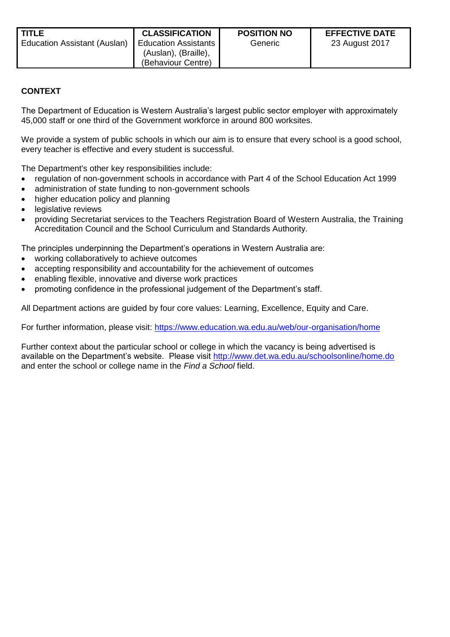# **CONTEXT**

The Department of Education is Western Australia's largest public sector employer with approximately 45,000 staff or one third of the Government workforce in around 800 worksites.

We provide a system of public schools in which our aim is to ensure that every school is a good school, every teacher is effective and every student is successful.

The Department's other key responsibilities include:

- regulation of non-government schools in accordance with Part 4 of the School Education Act 1999
- administration of state funding to non-government schools
- higher education policy and planning
- legislative reviews
- providing Secretariat services to the Teachers Registration Board of Western Australia, the Training Accreditation Council and the School Curriculum and Standards Authority.

The principles underpinning the Department's operations in Western Australia are:

- working collaboratively to achieve outcomes
- accepting responsibility and accountability for the achievement of outcomes
- enabling flexible, innovative and diverse work practices
- promoting confidence in the professional judgement of the Department's staff.

All Department actions are guided by four core values: Learning, Excellence, Equity and Care.

For further information, please visit:<https://www.education.wa.edu.au/web/our-organisation/home>

Further context about the particular school or college in which the vacancy is being advertised is available on the Department's website. Please visit<http://www.det.wa.edu.au/schoolsonline/home.do> and enter the school or college name in the *Find a School* field.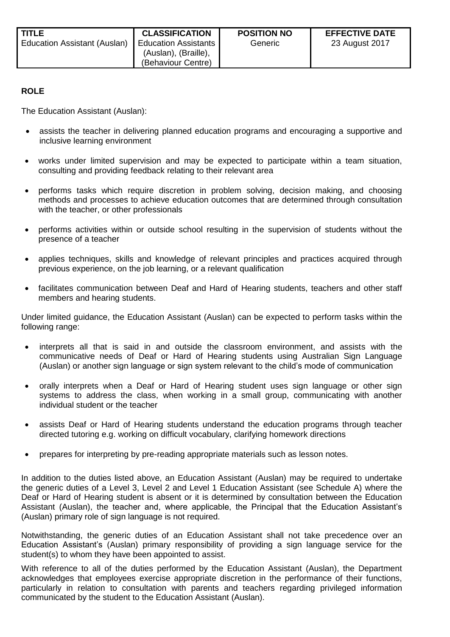### **ROLE**

The Education Assistant (Auslan):

- assists the teacher in delivering planned education programs and encouraging a supportive and inclusive learning environment
- works under limited supervision and may be expected to participate within a team situation, consulting and providing feedback relating to their relevant area
- performs tasks which require discretion in problem solving, decision making, and choosing methods and processes to achieve education outcomes that are determined through consultation with the teacher, or other professionals
- performs activities within or outside school resulting in the supervision of students without the presence of a teacher
- applies techniques, skills and knowledge of relevant principles and practices acquired through previous experience, on the job learning, or a relevant qualification
- facilitates communication between Deaf and Hard of Hearing students, teachers and other staff members and hearing students.

Under limited guidance, the Education Assistant (Auslan) can be expected to perform tasks within the following range:

- interprets all that is said in and outside the classroom environment, and assists with the communicative needs of Deaf or Hard of Hearing students using Australian Sign Language (Auslan) or another sign language or sign system relevant to the child's mode of communication
- orally interprets when a Deaf or Hard of Hearing student uses sign language or other sign systems to address the class, when working in a small group, communicating with another individual student or the teacher
- assists Deaf or Hard of Hearing students understand the education programs through teacher directed tutoring e.g. working on difficult vocabulary, clarifying homework directions
- prepares for interpreting by pre-reading appropriate materials such as lesson notes.

In addition to the duties listed above, an Education Assistant (Auslan) may be required to undertake the generic duties of a Level 3, Level 2 and Level 1 Education Assistant (see Schedule A) where the Deaf or Hard of Hearing student is absent or it is determined by consultation between the Education Assistant (Auslan), the teacher and, where applicable, the Principal that the Education Assistant's (Auslan) primary role of sign language is not required.

Notwithstanding, the generic duties of an Education Assistant shall not take precedence over an Education Assistant's (Auslan) primary responsibility of providing a sign language service for the student(s) to whom they have been appointed to assist.

With reference to all of the duties performed by the Education Assistant (Auslan), the Department acknowledges that employees exercise appropriate discretion in the performance of their functions, particularly in relation to consultation with parents and teachers regarding privileged information communicated by the student to the Education Assistant (Auslan).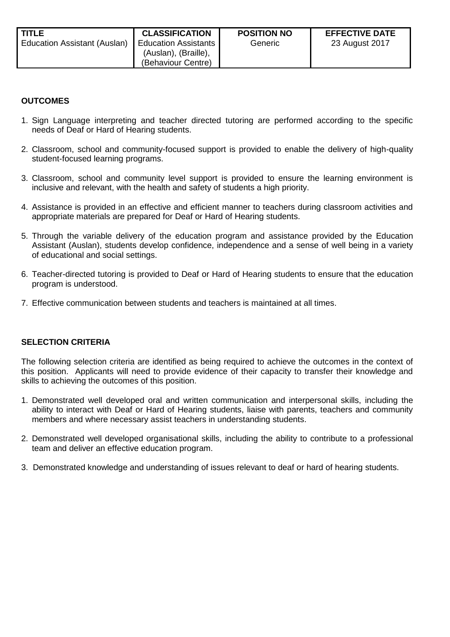### **OUTCOMES**

- 1. Sign Language interpreting and teacher directed tutoring are performed according to the specific needs of Deaf or Hard of Hearing students.
- 2. Classroom, school and community-focused support is provided to enable the delivery of high-quality student-focused learning programs.
- 3. Classroom, school and community level support is provided to ensure the learning environment is inclusive and relevant, with the health and safety of students a high priority.
- 4. Assistance is provided in an effective and efficient manner to teachers during classroom activities and appropriate materials are prepared for Deaf or Hard of Hearing students.
- 5. Through the variable delivery of the education program and assistance provided by the Education Assistant (Auslan), students develop confidence, independence and a sense of well being in a variety of educational and social settings.
- 6. Teacher-directed tutoring is provided to Deaf or Hard of Hearing students to ensure that the education program is understood.
- 7. Effective communication between students and teachers is maintained at all times.

#### **SELECTION CRITERIA**

The following selection criteria are identified as being required to achieve the outcomes in the context of this position. Applicants will need to provide evidence of their capacity to transfer their knowledge and skills to achieving the outcomes of this position.

- 1. Demonstrated well developed oral and written communication and interpersonal skills, including the ability to interact with Deaf or Hard of Hearing students, liaise with parents, teachers and community members and where necessary assist teachers in understanding students.
- 2. Demonstrated well developed organisational skills, including the ability to contribute to a professional team and deliver an effective education program.
- 3. Demonstrated knowledge and understanding of issues relevant to deaf or hard of hearing students.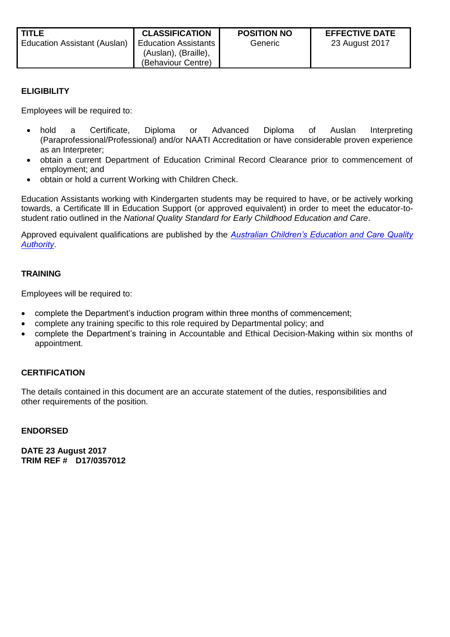## **ELIGIBILITY**

Employees will be required to:

- hold a Certificate, Diploma or Advanced Diploma of Auslan Interpreting (Paraprofessional/Professional) and/or NAATI Accreditation or have considerable proven experience as an Interpreter;
- obtain a current Department of Education Criminal Record Clearance prior to commencement of employment; and
- obtain or hold a current Working with Children Check.

Education Assistants working with Kindergarten students may be required to have, or be actively working towards, a Certificate lll in Education Support (or approved equivalent) in order to meet the educator-tostudent ratio outlined in the *National Quality Standard for Early Childhood Education and Care*.

Approved equivalent qualifications are published by the *[Australian Children's Education and Care Quality](http://www.acecqa.gov.au/educators-and-providers1/qualifications)  [Authority](http://www.acecqa.gov.au/educators-and-providers1/qualifications)*.

### **TRAINING**

Employees will be required to:

- complete the Department's induction program within three months of commencement;
- complete any training specific to this role required by Departmental policy; and
- complete the Department's training in Accountable and Ethical Decision-Making within six months of appointment.

### **CERTIFICATION**

The details contained in this document are an accurate statement of the duties, responsibilities and other requirements of the position.

#### **ENDORSED**

**DATE 23 August 2017 TRIM REF # D17/0357012**